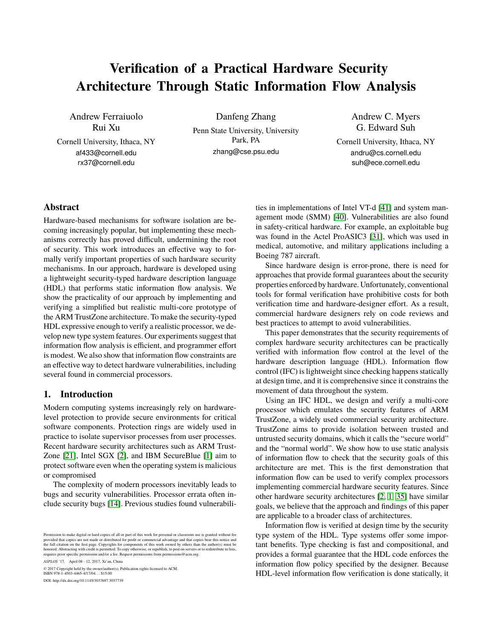# **Verification of a Practical Hardware Security Architecture Through Static Information Flow Analysis**

Andrew Ferraiuolo Rui Xu

Cornell University, Ithaca, NY af433@cornell.edu rx37@cornell.edu

Danfeng Zhang Penn State University, University Park, PA zhang@cse.psu.edu

Andrew C. Myers G. Edward Suh

Cornell University, Ithaca, NY andru@cs.cornell.edu suh@ece.cornell.edu

## **Abstract**

Hardware-based mechanisms for software isolation are becoming increasingly popular, but implementing these mechanisms correctly has proved difficult, undermining the root of security. This work introduces an effective way to formally verify important properties of such hardware security mechanisms. In our approach, hardware is developed using a lightweight security-typed hardware description language (HDL) that performs static information flow analysis. We show the practicality of our approach by implementing and verifying a simplified but realistic multi-core prototype of the ARM TrustZone architecture. To make the security-typed HDL expressive enough to verify a realistic processor, we develop new type system features. Our experiments suggest that information flow analysis is efficient, and programmer effort is modest. We also show that information flow constraints are an effective way to detect hardware vulnerabilities, including several found in commercial processors.

## **1. Introduction**

Modern computing systems increasingly rely on hardwarelevel protection to provide secure environments for critical software components. Protection rings are widely used in practice to isolate supervisor processes from user processes. Recent hardware security architectures such as ARM Trust-Zone [\[21\]](#page-12-0), Intel SGX [\[2\]](#page-12-1), and IBM SecureBlue [\[1\]](#page-12-2) aim to protect software even when the operating system is malicious or compromised

The complexity of modern processors inevitably leads to bugs and security vulnerabilities. Processor errata often include security bugs [\[14\]](#page-12-3). Previous studies found vulnerabili-

ASPLOS '17, April 08 - 12, 2017, Xi'an, China

© 2017 Copyright held by the owner/author(s). Publication rights licensed to ACM. ISBN 978-1-4503-4465-4/17/04. . . \$15.00

DOI: http://dx.doi.org/10.1145/3037697.3037739

ties in implementations of Intel VT-d [\[41\]](#page-13-0) and system management mode (SMM) [\[40\]](#page-13-1). Vulnerabilities are also found in safety-critical hardware. For example, an exploitable bug was found in the Actel ProASIC3 [\[31\]](#page-13-2), which was used in medical, automotive, and military applications including a Boeing 787 aircraft.

Since hardware design is error-prone, there is need for approaches that provide formal guarantees about the security properties enforced by hardware. Unfortunately, conventional tools for formal verification have prohibitive costs for both verification time and hardware-designer effort. As a result, commercial hardware designers rely on code reviews and best practices to attempt to avoid vulnerabilities.

This paper demonstrates that the security requirements of complex hardware security architectures can be practically verified with information flow control at the level of the hardware description language (HDL). Information flow control (IFC) is lightweight since checking happens statically at design time, and it is comprehensive since it constrains the movement of data throughout the system.

Using an IFC HDL, we design and verify a multi-core processor which emulates the security features of ARM TrustZone, a widely used commercial security architecture. TrustZone aims to provide isolation between trusted and untrusted security domains, which it calls the "secure world" and the "normal world". We show how to use static analysis of information flow to check that the security goals of this architecture are met. This is the first demonstration that information flow can be used to verify complex processors implementing commercial hardware security features. Since other hardware security architectures [\[2,](#page-12-1) [1,](#page-12-2) [35\]](#page-13-3) have similar goals, we believe that the approach and findings of this paper are applicable to a broader class of architectures.

Information flow is verified at design time by the security type system of the HDL. Type systems offer some important benefits. Type checking is fast and compositional, and provides a formal guarantee that the HDL code enforces the information flow policy specified by the designer. Because HDL-level information flow verification is done statically, it

Permission to make digital or hard copies of all or part of this work for personal or classroom use is granted without fee<br>provided that copies are not made or distributed for profit or commercial advantage and that copies requires prior specific permission and/or a fee. Request permissions from permissions@acm.org.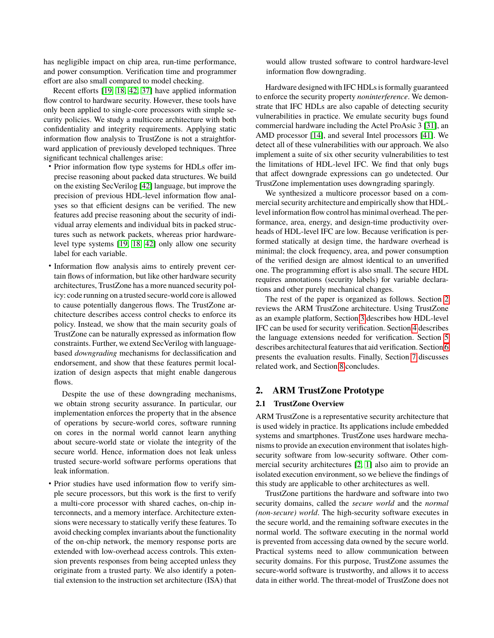has negligible impact on chip area, run-time performance, and power consumption. Verification time and programmer effort are also small compared to model checking.

Recent efforts [\[19,](#page-12-4) [18,](#page-12-5) [42,](#page-13-4) [37\]](#page-13-5) have applied information flow control to hardware security. However, these tools have only been applied to single-core processors with simple security policies. We study a multicore architecture with both confidentiality and integrity requirements. Applying static information flow analysis to TrustZone is not a straightforward application of previously developed techniques. Three significant technical challenges arise:

- Prior information flow type systems for HDLs offer imprecise reasoning about packed data structures. We build on the existing SecVerilog [\[42\]](#page-13-4) language, but improve the precision of previous HDL-level information flow analyses so that efficient designs can be verified. The new features add precise reasoning about the security of individual array elements and individual bits in packed structures such as network packets, whereas prior hardwarelevel type systems [\[19,](#page-12-4) [18,](#page-12-5) [42\]](#page-13-4) only allow one security label for each variable.
- Information flow analysis aims to entirely prevent certain flows of information, but like other hardware security architectures, TrustZone has a more nuanced security policy: code running on a trusted secure-world core is allowed to cause potentially dangerous flows. The TrustZone architecture describes access control checks to enforce its policy. Instead, we show that the main security goals of TrustZone can be naturally expressed as information flow constraints. Further, we extend SecVerilog with languagebased *downgrading* mechanisms for declassification and endorsement, and show that these features permit localization of design aspects that might enable dangerous flows.

Despite the use of these downgrading mechanisms, we obtain strong security assurance. In particular, our implementation enforces the property that in the absence of operations by secure-world cores, software running on cores in the normal world cannot learn anything about secure-world state or violate the integrity of the secure world. Hence, information does not leak unless trusted secure-world software performs operations that leak information.

• Prior studies have used information flow to verify simple secure processors, but this work is the first to verify a multi-core processor with shared caches, on-chip interconnects, and a memory interface. Architecture extensions were necessary to statically verify these features. To avoid checking complex invariants about the functionality of the on-chip network, the memory response ports are extended with low-overhead access controls. This extension prevents responses from being accepted unless they originate from a trusted party. We also identify a potential extension to the instruction set architecture (ISA) that

would allow trusted software to control hardware-level information flow downgrading.

Hardware designed with IFC HDLs is formally guaranteed to enforce the security property *noninterference*. We demonstrate that IFC HDLs are also capable of detecting security vulnerabilities in practice. We emulate security bugs found commercial hardware including the Actel ProAsic 3 [\[31\]](#page-13-2), an AMD processor [\[14\]](#page-12-3), and several Intel processors [\[41\]](#page-13-0). We detect all of these vulnerabilities with our approach. We also implement a suite of six other security vulnerabilities to test the limitations of HDL-level IFC. We find that only bugs that affect downgrade expressions can go undetected. Our TrustZone implementation uses downgrading sparingly.

We synthesized a multicore processor based on a commercial security architecture and empirically show that HDLlevel information flow control has minimal overhead. The performance, area, energy, and design-time productivity overheads of HDL-level IFC are low. Because verification is performed statically at design time, the hardware overhead is minimal; the clock frequency, area, and power consumption of the verified design are almost identical to an unverified one. The programming effort is also small. The secure HDL requires annotations (security labels) for variable declarations and other purely mechanical changes.

The rest of the paper is organized as follows. Section [2](#page-1-0) reviews the ARM TrustZone architecture. Using TrustZone as an example platform, Section [3](#page-3-0) describes how HDL-level IFC can be used for security verification. Section [4](#page-5-0) describes the language extensions needed for verification. Section [5](#page-8-0) describes architectural features that aid verification. Section [6](#page-8-1) presents the evaluation results. Finally, Section [7](#page-11-0) discusses related work, and Section [8](#page-11-1) concludes.

## <span id="page-1-0"></span>**2. ARM TrustZone Prototype**

#### **2.1 TrustZone Overview**

ARM TrustZone is a representative security architecture that is used widely in practice. Its applications include embedded systems and smartphones. TrustZone uses hardware mechanisms to provide an execution environment that isolates highsecurity software from low-security software. Other commercial security architectures [\[2,](#page-12-1) [1\]](#page-12-2) also aim to provide an isolated execution environment, so we believe the findings of this study are applicable to other architectures as well.

TrustZone partitions the hardware and software into two security domains, called the *secure world* and the *normal (non-secure) world*. The high-security software executes in the secure world, and the remaining software executes in the normal world. The software executing in the normal world is prevented from accessing data owned by the secure world. Practical systems need to allow communication between security domains. For this purpose, TrustZone assumes the secure-world software is trustworthy, and allows it to access data in either world. The threat-model of TrustZone does not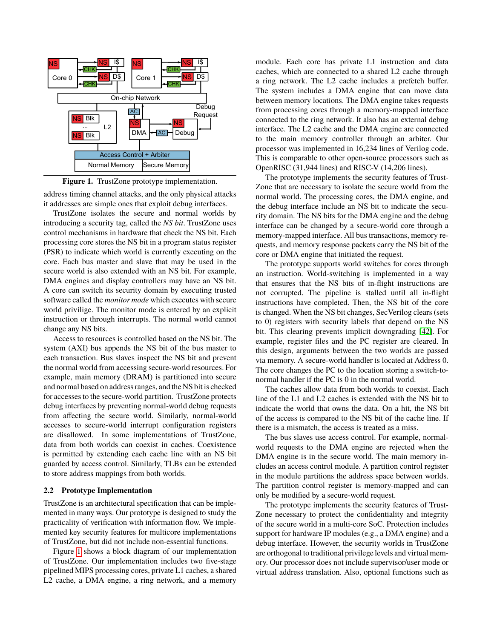

<span id="page-2-0"></span>**Figure 1.** TrustZone prototype implementation.

address timing channel attacks, and the only physical attacks it addresses are simple ones that exploit debug interfaces.

TrustZone isolates the secure and normal worlds by introducing a security tag, called the *NS bit*. TrustZone uses control mechanisms in hardware that check the NS bit. Each processing core stores the NS bit in a program status register (PSR) to indicate which world is currently executing on the core. Each bus master and slave that may be used in the secure world is also extended with an NS bit. For example, DMA engines and display controllers may have an NS bit. A core can switch its security domain by executing trusted software called the *monitor mode* which executes with secure world privilige. The monitor mode is entered by an explicit instruction or through interrupts. The normal world cannot change any NS bits.

Access to resources is controlled based on the NS bit. The system (AXI) bus appends the NS bit of the bus master to each transaction. Bus slaves inspect the NS bit and prevent the normal world from accessing secure-world resources. For example, main memory (DRAM) is partitioned into secure and normal based on address ranges, and the NS bit is checked for accesses to the secure-world partition. TrustZone protects debug interfaces by preventing normal-world debug requests from affecting the secure world. Similarly, normal-world accesses to secure-world interrupt configuration registers are disallowed. In some implementations of TrustZone, data from both worlds can coexist in caches. Coexistence is permitted by extending each cache line with an NS bit guarded by access control. Similarly, TLBs can be extended to store address mappings from both worlds.

#### **2.2 Prototype Implementation**

TrustZone is an architectural specification that can be implemented in many ways. Our prototype is designed to study the practicality of verification with information flow. We implemented key security features for multicore implementations of TrustZone, but did not include non-essential functions.

Figure [1](#page-2-0) shows a block diagram of our implementation of TrustZone. Our implementation includes two five-stage pipelined MIPS processing cores, private L1 caches, a shared L2 cache, a DMA engine, a ring network, and a memory

module. Each core has private L1 instruction and data caches, which are connected to a shared L2 cache through a ring network. The L2 cache includes a prefetch buffer. The system includes a DMA engine that can move data between memory locations. The DMA engine takes requests from processing cores through a memory-mapped interface connected to the ring network. It also has an external debug interface. The L2 cache and the DMA engine are connected to the main memory controller through an arbiter. Our processor was implemented in 16,234 lines of Verilog code. This is comparable to other open-source processors such as OpenRISC (31,944 lines) and RISC-V (14,206 lines).

The prototype implements the security features of Trust-Zone that are necessary to isolate the secure world from the normal world. The processing cores, the DMA engine, and the debug interface include an NS bit to indicate the security domain. The NS bits for the DMA engine and the debug interface can be changed by a secure-world core through a memory-mapped interface. All bus transactions, memory requests, and memory response packets carry the NS bit of the core or DMA engine that initiated the request.

The prototype supports world switches for cores through an instruction. World-switching is implemented in a way that ensures that the NS bits of in-flight instructions are not corrupted. The pipeline is stalled until all in-flight instructions have completed. Then, the NS bit of the core is changed. When the NS bit changes, SecVerilog clears (sets to 0) registers with security labels that depend on the NS bit. This clearing prevents implicit downgrading [\[42\]](#page-13-4). For example, register files and the PC register are cleared. In this design, arguments between the two worlds are passed via memory. A secure-world handler is located at Address 0. The core changes the PC to the location storing a switch-tonormal handler if the PC is 0 in the normal world.

The caches allow data from both worlds to coexist. Each line of the L1 and L2 caches is extended with the NS bit to indicate the world that owns the data. On a hit, the NS bit of the access is compared to the NS bit of the cache line. If there is a mismatch, the access is treated as a miss.

The bus slaves use access control. For example, normalworld requests to the DMA engine are rejected when the DMA engine is in the secure world. The main memory includes an access control module. A partition control register in the module partitions the address space between worlds. The partition control register is memory-mapped and can only be modified by a secure-world request.

The prototype implements the security features of Trust-Zone necessary to protect the confidentiality and integrity of the secure world in a multi-core SoC. Protection includes support for hardware IP modules (e.g., a DMA engine) and a debug interface. However, the security worlds in TrustZone are orthogonal to traditional privilege levels and virtual memory. Our processor does not include supervisor/user mode or virtual address translation. Also, optional functions such as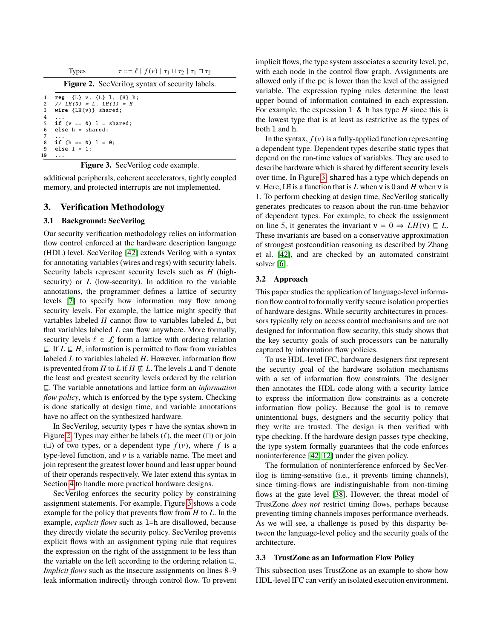<span id="page-3-1"></span>Types  $\tau ::= \ell | f(v) | \tau_1 \sqcup \tau_2 | \tau_1 \sqcap \tau_2$ 

**Figure 2.** SecVerilog syntax of security labels.

```
1 reg {L} v, {L} 1, {H} h;<br>2 // LH(0) = L, LH(1) = H2 // LH(0) = L, LH(1) = H<br>3 wire {LH(v)} shared:
     wire {LH(v)} shared;
\frac{4}{5}if (v == 0) 1 = shared;6 else h = shared;
 7 ...
8 if (h == 0) 1 = 0;9 else l = 1;
10
```
<span id="page-3-2"></span>**Figure 3.** SecVerilog code example.

additional peripherals, coherent accelerators, tightly coupled memory, and protected interrupts are not implemented.

## <span id="page-3-0"></span>**3. Verification Methodology**

#### **3.1 Background: SecVerilog**

Our security verification methodology relies on information flow control enforced at the hardware description language (HDL) level. SecVerilog [\[42\]](#page-13-4) extends Verilog with a syntax for annotating variables (wires and regs) with security labels. Security labels represent security levels such as *H* (highsecurity) or *L* (low-security). In addition to the variable annotations, the programmer defines a lattice of security levels [\[7\]](#page-12-6) to specify how information may flow among security levels. For example, the lattice might specify that variables labeled *H* cannot flow to variables labeled *L*, but that variables labeled *L* can flow anywhere. More formally, security levels  $\ell \in \mathcal{L}$  form a lattice with ordering relation  $\sqsubseteq$ . If  $L \sqsubseteq H$ , information is permitted to flow from variables labeled *L* to variables labeled *H*. However, information flow is prevented from *H* to *L* if  $H \not\subseteq L$ . The levels  $\perp$  and  $\top$  denote the least and greatest security levels ordered by the relation  $\subseteq$ . The variable annotations and lattice form an *information flow policy*, which is enforced by the type system. Checking is done statically at design time, and variable annotations have no affect on the synthesized hardware.

In SecVerilog, security types  $\tau$  have the syntax shown in Figure [2.](#page-3-1) Types may either be labels  $(\ell)$ , the meet  $(\square)$  or join ( $\Box$ ) of two types, or a dependent type  $f(v)$ , where f is a type-level function, and  $\nu$  is a variable name. The meet and join represent the greatest lower bound and least upper bound of their operands respectively. We later extend this syntax in Section [4](#page-5-0) to handle more practical hardware designs.

SecVerilog enforces the security policy by constraining assignment statements. For example, Figure [3](#page-3-2) shows a code example for the policy that prevents flow from *H* to *L*. In the example, *explicit flows* such as 1=h are disallowed, because they directly violate the security policy. SecVerilog prevents explicit flows with an assignment typing rule that requires the expression on the right of the assignment to be less than the variable on the left according to the ordering relation  $\sqsubseteq$ . *Implicit flows* such as the insecure assignments on lines 8–9 leak information indirectly through control flow. To prevent

implicit flows, the type system associates a security level, pc, with each node in the control flow graph. Assignments are allowed only if the pc is lower than the level of the assigned variable. The expression typing rules determine the least upper bound of information contained in each expression. For example, the expression 1 & h has type *H* since this is the lowest type that is at least as restrictive as the types of both l and h.

In the syntax,  $f(v)$  is a fully-applied function representing a dependent type. Dependent types describe static types that depend on the run-time values of variables. They are used to describe hardware which is shared by different security levels over time. In Figure [3,](#page-3-2) shared has a type which depends on v. Here, LH is a function that is *L* when v is 0 and *H* when v is 1. To perform checking at design time, SecVerilog statically generates predicates to reason about the run-time behavior of dependent types. For example, to check the assignment on line 5, it generates the invariant  $v = 0 \Rightarrow LH(v) \sqsubseteq L$ . These invariants are based on a conservative approximation of strongest postcondition reasoning as described by Zhang et al. [\[42\]](#page-13-4), and are checked by an automated constraint solver [\[6\]](#page-12-7).

#### **3.2 Approach**

This paper studies the application of language-level information flow control to formally verify secure isolation properties of hardware designs. While security architectures in processors typically rely on access control mechanisms and are not designed for information flow security, this study shows that the key security goals of such processors can be naturally captured by information flow policies.

To use HDL-level IFC, hardware designers first represent the security goal of the hardware isolation mechanisms with a set of information flow constraints. The designer then annotates the HDL code along with a security lattice to express the information flow constraints as a concrete information flow policy. Because the goal is to remove unintentional bugs, designers and the security policy that they write are trusted. The design is then verified with type checking. If the hardware design passes type checking, the type system formally guarantees that the code enforces noninterference [\[42,](#page-13-4) [12\]](#page-12-8) under the given policy.

The formulation of noninterference enforced by SecVerilog is timing-sensitive (i.e., it prevents timing channels), since timing-flows are indistinguishable from non-timing flows at the gate level [\[38\]](#page-13-6). However, the threat model of TrustZone *does not* restrict timing flows, perhaps because preventing timing channels imposes performance overheads. As we will see, a challenge is posed by this disparity between the language-level policy and the security goals of the architecture.

## **3.3 TrustZone as an Information Flow Policy**

This subsection uses TrustZone as an example to show how HDL-level IFC can verify an isolated execution environment.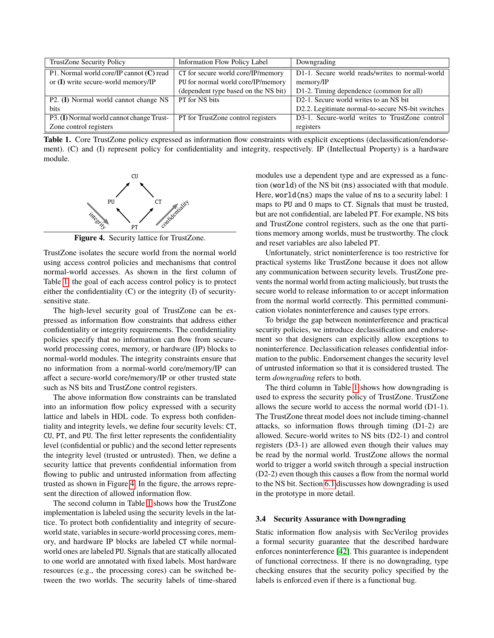| <b>TrustZone Security Policy</b>          | <b>Information Flow Policy Label</b> | Downgrading                                                     |  |
|-------------------------------------------|--------------------------------------|-----------------------------------------------------------------|--|
| P1. Normal world core/IP cannot (C) read  | CT for secure world core/IP/memory   | D1-1. Secure world reads/writes to normal-world                 |  |
| or (I) write secure-world memory/IP       | PU for normal world core/IP/memory   | memory/IP                                                       |  |
|                                           | (dependent type based on the NS bit) | D1-2. Timing dependence (common for all)                        |  |
| P2. (I) Normal world cannot change NS     | PT for NS bits                       | D <sub>2</sub> -1. Secure world writes to an N <sub>S</sub> bit |  |
| <b>bits</b>                               |                                      | D2.2. Legitimate normal-to-secure NS-bit switches               |  |
| P3. (I) Normal world cannot change Trust- | PT for TrustZone control registers   | D3-1. Secure-world writes to TrustZone control                  |  |
| Zone control registers                    |                                      | registers                                                       |  |

<span id="page-4-0"></span>Table 1. Core TrustZone policy expressed as information flow constraints with explicit exceptions (declassification/endorsement). (C) and (I) represent policy for confidentiality and integrity, respectively. IP (Intellectual Property) is a hardware module.



<span id="page-4-1"></span>**Figure 4.** Security lattice for TrustZone.

TrustZone isolates the secure world from the normal world using access control policies and mechanisms that control normal-world accesses. As shown in the first column of Table [1,](#page-4-0) the goal of each access control policy is to protect either the confidentiality (C) or the integrity (I) of securitysensitive state.

The high-level security goal of TrustZone can be expressed as information flow constraints that address either confidentiality or integrity requirements. The confidentiality policies specify that no information can flow from secureworld processing cores, memory, or hardware (IP) blocks to normal-world modules. The integrity constraints ensure that no information from a normal-world core/memory/IP can affect a secure-world core/memory/IP or other trusted state such as NS bits and TrustZone control registers.

The above information flow constraints can be translated into an information flow policy expressed with a security lattice and labels in HDL code. To express both confidentiality and integrity levels, we define four security levels: CT, CU, PT, and PU. The first letter represents the confidentiality level (confidential or public) and the second letter represents the integrity level (trusted or untrusted). Then, we define a security lattice that prevents confidential information from flowing to public and untrusted information from affecting trusted as shown in Figure [4.](#page-4-1) In the figure, the arrows represent the direction of allowed information flow.

The second column in Table [1](#page-4-0) shows how the TrustZone implementation is labeled using the security levels in the lattice. To protect both confidentiality and integrity of secureworld state, variables in secure-world processing cores, memory, and hardware IP blocks are labeled CT while normalworld ones are labeled PU. Signals that are statically allocated to one world are annotated with fixed labels. Most hardware resources (e.g., the processing cores) can be switched between the two worlds. The security labels of time-shared

modules use a dependent type and are expressed as a function (world) of the NS bit (ns) associated with that module. Here, world(ns) maps the value of ns to a security label: 1 maps to PU and 0 maps to CT. Signals that must be trusted, but are not confidential, are labeled PT. For example, NS bits and TrustZone control registers, such as the one that partitions memory among worlds, must be trustworthy. The clock and reset variables are also labeled PT.

Unfortunately, strict noninterference is too restrictive for practical systems like TrustZone because it does not allow any communication between security levels. TrustZone prevents the normal world from acting maliciously, but trusts the secure world to release information to or accept information from the normal world correctly. This permitted communication violates noninterference and causes type errors.

To bridge the gap between noninterference and practical security policies, we introduce declassification and endorsement so that designers can explicitly allow exceptions to noninterference. Declassification releases confidential information to the public. Endorsement changes the security level of untrusted information so that it is considered trusted. The term *downgrading* refers to both.

The third column in Table [1](#page-4-0) shows how downgrading is used to express the security policy of TrustZone. TrustZone allows the secure world to access the normal world (D1-1). The TrustZone threat model does not include timing-channel attacks, so information flows through timing (D1-2) are allowed. Secure-world writes to NS bits (D2-1) and control registers (D3-1) are allowed even though their values may be read by the normal world. TrustZone allows the normal world to trigger a world switch through a special instruction (D2-2) even though this causes a flow from the normal world to the NS bit. Section [6.1](#page-8-2) discusses how downgrading is used in the prototype in more detail.

#### **3.4 Security Assurance with Downgrading**

Static information flow analysis with SecVerilog provides a formal security guarantee that the described hardware enforces noninterference [\[42\]](#page-13-4). This guarantee is independent of functional correctness. If there is no downgrading, type checking ensures that the security policy specified by the labels is enforced even if there is a functional bug.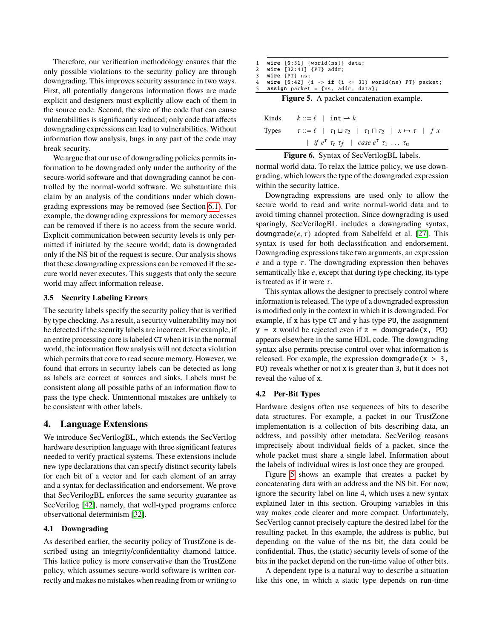Therefore, our verification methodology ensures that the only possible violations to the security policy are through downgrading. This improves security assurance in two ways. First, all potentially dangerous information flows are made explicit and designers must explicitly allow each of them in the source code. Second, the size of the code that can cause vulnerabilities is significantly reduced; only code that affects downgrading expressions can lead to vulnerabilities. Without information flow analysis, bugs in any part of the code may break security.

We argue that our use of downgrading policies permits information to be downgraded only under the authority of the secure-world software and that downgrading cannot be controlled by the normal-world software. We substantiate this claim by an analysis of the conditions under which downgrading expressions may be removed (see Section [6.1\)](#page-8-2). For example, the downgrading expressions for memory accesses can be removed if there is no access from the secure world. Explicit communication between security levels is only permitted if initiated by the secure world; data is downgraded only if the NS bit of the request is secure. Our analysis shows that these downgrading expressions can be removed if the secure world never executes. This suggests that only the secure world may affect information release.

#### **3.5 Security Labeling Errors**

The security labels specify the security policy that is verified by type checking. As a result, a security vulnerability may not be detected if the security labels are incorrect. For example, if an entire processing core is labeled CT when it is in the normal world, the information flow analysis will not detect a violation which permits that core to read secure memory. However, we found that errors in security labels can be detected as long as labels are correct at sources and sinks. Labels must be consistent along all possible paths of an information flow to pass the type check. Unintentional mistakes are unlikely to be consistent with other labels.

## <span id="page-5-0"></span>**4. Language Extensions**

We introduce SecVerilogBL, which extends the SecVerilog hardware description language with three significant features needed to verify practical systems. These extensions include new type declarations that can specify distinct security labels for each bit of a vector and for each element of an array and a syntax for declassification and endorsement. We prove that SecVerilogBL enforces the same security guarantee as SecVerilog [\[42\]](#page-13-4), namely, that well-typed programs enforce observational determinism [\[32\]](#page-13-7).

#### **4.1 Downgrading**

As described earlier, the security policy of TrustZone is described using an integrity/confidentiality diamond lattice. This lattice policy is more conservative than the TrustZone policy, which assumes secure-world software is written correctly and makes no mistakes when reading from or writing to

```
2 wire [32:41] {PT} addr;
3 wire {PT} ns;
```
4 wire  $[0:42]$   $\{i \rightarrow if (i \leq 31) \text{ world(ns)} PT\}$  packet;

```
5 assign packet = {ns, addr, data};
```
<span id="page-5-1"></span>**Figure 5.** A packet concatenation example.

| if $e^{\tau} \tau_t \tau_f$   case $e^{\tau} \tau_1 \ldots \tau_n$                                     |
|--------------------------------------------------------------------------------------------------------|
| Types $\tau ::= \ell \mid \tau_1 \sqcup \tau_2 \mid \tau_1 \sqcap \tau_2 \mid x \mapsto \tau \mid f x$ |
| Kinds $k ::= \ell \mid \text{int} \rightarrow k$                                                       |

<span id="page-5-2"></span>**Figure 6.** Syntax of SecVerilogBL labels.

normal world data. To relax the lattice policy, we use downgrading, which lowers the type of the downgraded expression within the security lattice.

Downgrading expressions are used only to allow the secure world to read and write normal-world data and to avoid timing channel protection. Since downgrading is used sparingly, SecVerilogBL includes a downgrading syntax, downgrade(*e*, τ) adopted from Sabelfeld et al. [\[27\]](#page-12-9). This syntax is used for both declassification and endorsement. Downgrading expressions take two arguments, an expression *e* and a type  $\tau$ . The downgrading expression then behaves semantically like *e*, except that during type checking, its type is treated as if it were  $\tau$ .

This syntax allows the designer to precisely control where information is released. The type of a downgraded expression is modified only in the context in which it is downgraded. For example, if x has type CT and y has type PU, the assignment  $y = x$  would be rejected even if  $z = downgrade(x, PU)$ appears elsewhere in the same HDL code. The downgrading syntax also permits precise control over what information is released. For example, the expression downgrade( $x > 3$ , PU) reveals whether or not x is greater than 3, but it does not reveal the value of x.

#### **4.2 Per-Bit Types**

Hardware designs often use sequences of bits to describe data structures. For example, a packet in our TrustZone implementation is a collection of bits describing data, an address, and possibly other metadata. SecVerilog reasons imprecisely about individual fields of a packet, since the whole packet must share a single label. Information about the labels of individual wires is lost once they are grouped.

Figure [5](#page-5-1) shows an example that creates a packet by concatenating data with an address and the NS bit. For now, ignore the security label on line 4, which uses a new syntax explained later in this section. Grouping variables in this way makes code clearer and more compact. Unfortunately, SecVerilog cannot precisely capture the desired label for the resulting packet. In this example, the address is public, but depending on the value of the ns bit, the data could be confidential. Thus, the (static) security levels of some of the bits in the packet depend on the run-time value of other bits.

A dependent type is a natural way to describe a situation like this one, in which a static type depends on run-time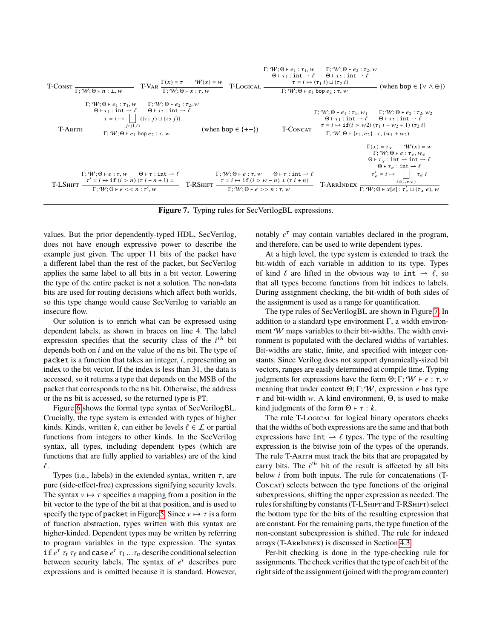

<span id="page-6-0"></span>**Figure 7.** Typing rules for SecVerilogBL expressions.

values. But the prior dependently-typed HDL, SecVerilog, does not have enough expressive power to describe the example just given. The upper 11 bits of the packet have a different label than the rest of the packet, but SecVerilog applies the same label to all bits in a bit vector. Lowering the type of the entire packet is not a solution. The non-data bits are used for routing decisions which affect both worlds, so this type change would cause SecVerilog to variable an insecure flow.

Our solution is to enrich what can be expressed using dependent labels, as shown in braces on line 4. The label expression specifies that the security class of the  $i^{th}$  bit depends both on *i* and on the value of the ns bit. The type of packet is a function that takes an integer, *i*, representing an index to the bit vector. If the index is less than 31, the data is accessed, so it returns a type that depends on the MSB of the packet that corresponds to the ns bit. Otherwise, the address or the ns bit is accessed, so the returned type is PT.

Figure [6](#page-5-2) shows the formal type syntax of SecVerilogBL. Crucially, the type system is extended with types of higher kinds. Kinds, written k, can either be levels  $\ell \in \mathcal{L}$  or partial functions from integers to other kinds. In the SecVerilog syntax, all types, including dependent types (which are functions that are fully applied to variables) are of the kind  $\ell$ .

Types (i.e., labels) in the extended syntax, written  $\tau$ , are pure (side-effect-free) expressions signifying security levels. The syntax  $v \mapsto \tau$  specifies a mapping from a position in the bit vector to the type of the bit at that position, and is used to specify the type of packet in Figure [5.](#page-5-1) Since  $v \mapsto \tau$  is a form of function abstraction, types written with this syntax are higher-kinded. Dependent types may be written by referring to program variables in the type expression. The syntax **if**  $e^{\tau} \tau_t \tau_f$  and case  $e^{\tau} \tau_1 ... \tau_n$  describe conditional selection<br>between security labels. The syntax of  $e^{\tau}$  describes pure between security labels. The syntax of  $e^{\tau}$  describes pure expressions and is omitted because it is standard. However,

notably  $e^{\tau}$  may contain variables declared in the program, and therefore, can be used to write dependent types.

At a high level, the type system is extended to track the bit-width of each variable in addition to its type. Types of kind  $\ell$  are lifted in the obvious way to int  $\rightarrow \ell$ , so that all types become functions from bit indices to labels. During assignment checking, the bit-width of both sides of the assignment is used as a range for quantification.

The type rules of SecVerilogBL are shown in Figure [7.](#page-6-0) In addition to a standard type environment  $\Gamma$ , a width environment  $W$  maps variables to their bit-widths. The width environment is populated with the declared widths of variables. Bit-widths are static, finite, and specified with integer constants. Since Verilog does not support dynamically-sized bit vectors, ranges are easily determined at compile time. Typing judgments for expressions have the form  $\Theta$ ;  $\Gamma$ ;  $W \vdash e : \tau, w$ meaning that under context Θ; Γ;W, expression *e* has type  $\tau$  and bit-width w. A kind environment,  $\Theta$ , is used to make kind judgments of the form  $\Theta \vdash \tau : k$ .

The rule T-Logical for logical binary operators checks that the widths of both expressions are the same and that both expressions have int  $\rightarrow \ell$  types. The type of the resulting expression is the bitwise join of the types of the operands. The rule T-ARITH must track the bits that are propagated by carry bits. The  $i<sup>th</sup>$  bit of the result is affected by all bits below *i* from both inputs. The rule for concatenations (T-CONCAT) selects between the type functions of the original subexpressions, shifting the upper expression as needed. The rules for shifting by constants (Т-LSнIFT and Т-RSНIFT) select the bottom type for the bits of the resulting expression that are constant. For the remaining parts, the type function of the non-constant subexpression is shifted. The rule for indexed arrays (T-ARRINDEX) is discussed in Section [4.3.](#page-7-0)

Per-bit checking is done in the type-checking rule for assignments. The check verifies that the type of each bit of the right side of the assignment (joined with the program counter)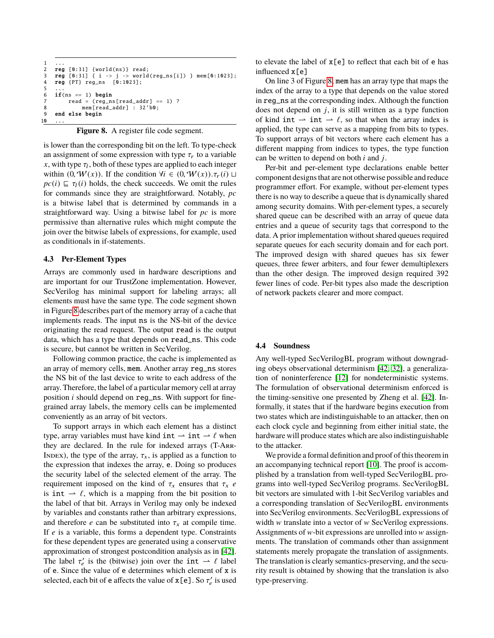```
\frac{1}{2}reg [0:31] {world(ns)} read;
3 reg [0:31] { i -> j -> world(reg_ns[i]) } mem [0:1023];
4 reg {PT} reg_ns [0:1023];
5 ...
6 if(ns == 1) begin<br>7 read = (req n)
          read = (reg_ns[read_data] == 1) ?
8 mem[read_addr] : 32^{\prime}b0;<br>9 end else begin
    end else begin
10
```
<span id="page-7-1"></span>**Figure 8.** A register file code segment.

is lower than the corresponding bit on the left. To type-check an assignment of some expression with type  $\tau_r$  to a variable *x*, with type  $\tau_l$ , both of these types are applied to each integer<br>within  $(0, 5W(x))$  If the condition  $\forall i \in (0, 5W(x))$   $\tau$ , (i) 11 within  $(0, W(x))$ . If the condition  $\forall i \in (0, W(x))$ . $\tau_r(i) \sqcup$  $pc(i) \nightharpoonup \tau_l(i)$  holds, the check succeeds. We omit the rules for commands since they are straightforward. Notably, *pc* is a bitwise label that is determined by commands in a straightforward way. Using a bitwise label for *pc* is more permissive than alternative rules which might compute the join over the bitwise labels of expressions, for example, used as conditionals in if-statements.

#### <span id="page-7-0"></span>**4.3 Per-Element Types**

Arrays are commonly used in hardware descriptions and are important for our TrustZone implementation. However, SecVerilog has minimal support for labeling arrays; all elements must have the same type. The code segment shown in Figure [8](#page-7-1) describes part of the memory array of a cache that implements reads. The input ns is the NS-bit of the device originating the read request. The output read is the output data, which has a type that depends on read\_ns. This code is secure, but cannot be written in SecVerilog.

Following common practice, the cache is implemented as an array of memory cells, mem. Another array reg\_ns stores the NS bit of the last device to write to each address of the array. Therefore, the label of a particular memory cell at array position *i* should depend on reg\_ns. With support for finegrained array labels, the memory cells can be implemented conveniently as an array of bit vectors.

To support arrays in which each element has a distinct type, array variables must have kind  $int \rightarrow int \rightarrow \ell$  when they are declared. In the rule for indexed arrays (T-Arr-INDEX), the type of the array,  $\tau_x$ , is applied as a function to the expression that indexes the array, e. Doing so produces the security label of the selected element of the array. The requirement imposed on the kind of  $\tau_x$  ensures that  $\tau_x$  *e* is int  $\rightarrow \ell$ , which is a mapping from the bit position to the label of that bit. Arrays in Verilog may only be indexed by variables and constants rather than arbitrary expressions, and therefore *e* can be substituted into  $\tau_x$  at compile time. If *e* is a variable, this forms a dependent type. Constraints for these dependent types are generated using a conservative approximation of strongest postcondition analysis as in [\[42\]](#page-13-4). The label  $\tau'_e$  is the (bitwise) join over the int  $\rightharpoonup \ell$  label<br>of a Since the value of a determines which element of x is of e. Since the value of e determines which element of x is selected, each bit of e affects the value of  $\mathbf{x}[\mathbf{e}]$ . So  $\tau_e'$  is used

to elevate the label of  $x[e]$  to reflect that each bit of e has influenced x[e]

On line 3 of Figure [8,](#page-7-1) mem has an array type that maps the index of the array to a type that depends on the value stored in reg\_ns at the corresponding index. Although the function does not depend on *j*, it is still written as a type function of kind int  $\rightarrow$  int  $\rightarrow$   $\ell$ , so that when the array index is applied, the type can serve as a mapping from bits to types. To support arrays of bit vectors where each element has a different mapping from indices to types, the type function can be written to depend on both *i* and *j*.

Per-bit and per-element type declarations enable better component designs that are not otherwise possible and reduce programmer effort. For example, without per-element types there is no way to describe a queue that is dynamically shared among security domains. With per-element types, a securely shared queue can be described with an array of queue data entries and a queue of security tags that correspond to the data. A prior implementation without shared queues required separate queues for each security domain and for each port. The improved design with shared queues has six fewer queues, three fewer arbiters, and four fewer demultiplexers than the other design. The improved design required 392 fewer lines of code. Per-bit types also made the description of network packets clearer and more compact.

#### **4.4 Soundness**

Any well-typed SecVerilogBL program without downgrading obeys observational determinism [\[42,](#page-13-4) [32\]](#page-13-7), a generalization of noninterference [\[12\]](#page-12-8) for nondeterministic systems. The formulation of observational determinism enforced is the timing-sensitive one presented by Zheng et al. [\[42\]](#page-13-4). Informally, it states that if the hardware begins execution from two states which are indistinguishable to an attacker, then on each clock cycle and beginning from either initial state, the hardware will produce states which are also indistinguishable to the attacker.

We provide a formal definition and proof of this theorem in an accompanying technical report [\[10\]](#page-12-10). The proof is accomplished by a translation from well-typed SecVerilogBL programs into well-typed SecVerilog programs. SecVerilogBL bit vectors are simulated with 1-bit SecVerilog variables and a corresponding translation of SecVerilogBL environments into SecVerilog environments. SecVerilogBL expressions of width w translate into a vector of w SecVerilog expressions. Assignments of w-bit expressions are unrolled into w assignments. The translation of commands other than assignment statements merely propagate the translation of assignments. The translation is clearly semantics-preserving, and the security result is obtained by showing that the translation is also type-preserving.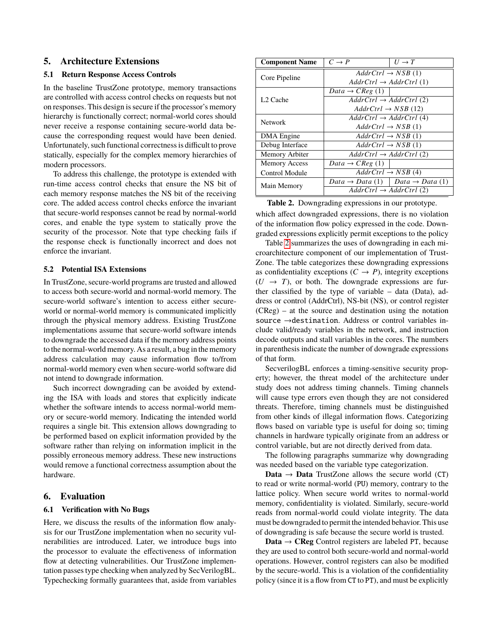## <span id="page-8-0"></span>**5. Architecture Extensions**

#### **5.1 Return Response Access Controls**

In the baseline TrustZone prototype, memory transactions are controlled with access control checks on requests but not on responses. This design is secure if the processor's memory hierarchy is functionally correct; normal-world cores should never receive a response containing secure-world data because the corresponding request would have been denied. Unfortunately, such functional correctness is difficult to prove statically, especially for the complex memory hierarchies of modern processors.

To address this challenge, the prototype is extended with run-time access control checks that ensure the NS bit of each memory response matches the NS bit of the receiving core. The added access control checks enforce the invariant that secure-world responses cannot be read by normal-world cores, and enable the type system to statically prove the security of the processor. Note that type checking fails if the response check is functionally incorrect and does not enforce the invariant.

#### **5.2 Potential ISA Extensions**

In TrustZone, secure-world programs are trusted and allowed to access both secure-world and normal-world memory. The secure-world software's intention to access either secureworld or normal-world memory is communicated implicitly through the physical memory address. Existing TrustZone implementations assume that secure-world software intends to downgrade the accessed data if the memory address points to the normal-world memory. As a result, a bug in the memory address calculation may cause information flow to/from normal-world memory even when secure-world software did not intend to downgrade information.

Such incorrect downgrading can be avoided by extending the ISA with loads and stores that explicitly indicate whether the software intends to access normal-world memory or secure-world memory. Indicating the intended world requires a single bit. This extension allows downgrading to be performed based on explicit information provided by the software rather than relying on information implicit in the possibly erroneous memory address. These new instructions would remove a functional correctness assumption about the hardware.

## <span id="page-8-1"></span>**6. Evaluation**

## <span id="page-8-2"></span>**6.1 Verification with No Bugs**

Here, we discuss the results of the information flow analysis for our TrustZone implementation when no security vulnerabilities are introduced. Later, we introduce bugs into the processor to evaluate the effectiveness of information flow at detecting vulnerabilities. Our TrustZone implementation passes type checking when analyzed by SecVerilogBL. Typechecking formally guarantees that, aside from variables

| <b>Component Name</b> | $C \rightarrow P$                   | $U \rightarrow T$                                       |  |
|-----------------------|-------------------------------------|---------------------------------------------------------|--|
|                       | $AddrCtrl \rightarrow NSB(1)$       |                                                         |  |
| Core Pipeline         | $AddrCtrl \rightarrow AddrCtrl$ (1) |                                                         |  |
|                       | $Data \rightarrow CReg(1)$          |                                                         |  |
| L <sub>2</sub> Cache  | $AddrCtrl \rightarrow AddrCtrl$ (2) |                                                         |  |
|                       | $AddrCtrl \rightarrow NSB(12)$      |                                                         |  |
| <b>Network</b>        | $AddrCtrl \rightarrow AddrCtrl$ (4) |                                                         |  |
|                       | $AddrCtrl \rightarrow NSB(1)$       |                                                         |  |
| DMA Engine            | $AddrCtrl \rightarrow NSB(1)$       |                                                         |  |
| Debug Interface       | $AddrCtrl \rightarrow NSB(1)$       |                                                         |  |
| Memory Arbiter        | $AddrCtrl \rightarrow AddrCtrl$ (2) |                                                         |  |
| <b>Memory Access</b>  | $Data \rightarrow CReg(1)$          |                                                         |  |
| Control Module        | $AddrCtrl \rightarrow NSB(4)$       |                                                         |  |
| Main Memory           |                                     | $Data \rightarrow Data(1)$   $Data \rightarrow Data(1)$ |  |
|                       | $AddrCtrl \rightarrow AddrCtrl$ (2) |                                                         |  |

<span id="page-8-3"></span>**Table 2.** Downgrading expressions in our prototype. which affect downgraded expressions, there is no violation of the information flow policy expressed in the code. Downgraded expressions explicitly permit exceptions to the policy

Table [2](#page-8-3) summarizes the uses of downgrading in each microarchitecture component of our implementation of Trust-Zone. The table categorizes these downgrading expressions as confidentiality exceptions  $(C \rightarrow P)$ , integrity exceptions  $(U \rightarrow T)$ , or both. The downgrade expressions are further classified by the type of variable – data (Data), address or control (AddrCtrl), NS-bit (NS), or control register (CReg) – at the source and destination using the notation source →destination. Address or control variables include valid/ready variables in the network, and instruction decode outputs and stall variables in the cores. The numbers in parenthesis indicate the number of downgrade expressions of that form.

SecverilogBL enforces a timing-sensitive security property; however, the threat model of the architecture under study does not address timing channels. Timing channels will cause type errors even though they are not considered threats. Therefore, timing channels must be distinguished from other kinds of illegal information flows. Categorizing flows based on variable type is useful for doing so; timing channels in hardware typically originate from an address or control variable, but are not directly derived from data.

The following paragraphs summarize why downgrading was needed based on the variable type categorization.

**Data**  $\rightarrow$  **Data** TrustZone allows the secure world (CT) to read or write normal-world (PU) memory, contrary to the lattice policy. When secure world writes to normal-world memory, confidentiality is violated. Similarly, secure-world reads from normal-world could violate integrity. The data must be downgraded to permit the intended behavior. This use of downgrading is safe because the secure world is trusted.

**Data**  $\rightarrow$  **CReg** Control registers are labeled PT, because they are used to control both secure-world and normal-world operations. However, control registers can also be modified by the secure-world. This is a violation of the confidentiality policy (since it is a flow from CT to PT), and must be explicitly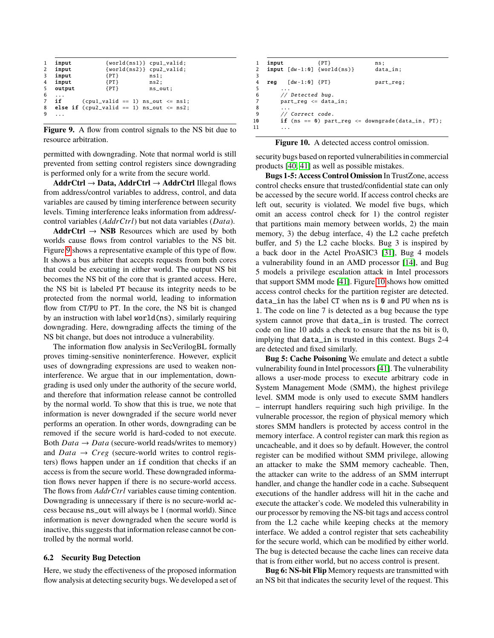| 1              | input    |                                               | $\{world(ns1)\}$ cpul_valid; |
|----------------|----------|-----------------------------------------------|------------------------------|
| 2              | input    |                                               | {world(ns2)} cpu2_valid;     |
| 3              | input    | ${P}$                                         | $ns1$ :                      |
| $\overline{4}$ | input    | ${PT}$                                        | $ns2$ :                      |
| 5              | output   | ${P}$                                         | $ns_out;$                    |
| 6              | $\cdots$ |                                               |                              |
| $\overline{7}$ | if       | $(cpu1_valid == 1) ns_out \leq ns1;$          |                              |
| 8              |          | else if $cpu2_valid == 1)$ ns_out $\leq$ ns2; |                              |
| 9              | .        |                                               |                              |
|                |          |                                               |                              |

<span id="page-9-0"></span>**Figure 9.** A flow from control signals to the NS bit due to resource arbitration.

permitted with downgrading. Note that normal world is still prevented from setting control registers since downgrading is performed only for a write from the secure world.

**AddrCtrl** → **Data, AddrCtrl** → **AddrCtrl** Illegal flows from address/control variables to address, control, and data variables are caused by timing interference between security levels. Timing interference leaks information from address/ control variables (*AddrCtrl*) but not data variables (*Data*).

AddrCtrl  $\rightarrow$  **NSB** Resources which are used by both worlds cause flows from control variables to the NS bit. Figure [9](#page-9-0) shows a representative example of this type of flow. It shows a bus arbiter that accepts requests from both cores that could be executing in either world. The output NS bit becomes the NS bit of the core that is granted access. Here, the NS bit is labeled PT because its integrity needs to be protected from the normal world, leading to information flow from CT/PU to PT. In the core, the NS bit is changed by an instruction with label world(ns), similarly requiring downgrading. Here, downgrading affects the timing of the NS bit change, but does not introduce a vulnerability.

The information flow analysis in SecVerilogBL formally proves timing-sensitive noninterference. However, explicit uses of downgrading expressions are used to weaken noninterference. We argue that in our implementation, downgrading is used only under the authority of the secure world, and therefore that information release cannot be controlled by the normal world. To show that this is true, we note that information is never downgraded if the secure world never performs an operation. In other words, downgrading can be removed if the secure world is hard-coded to not execute. Both  $Data \rightarrow Data$  (secure-world reads/writes to memory) and  $Data \rightarrow Creg$  (secure-world writes to control registers) flows happen under an if condition that checks if an access is from the secure world. These downgraded information flows never happen if there is no secure-world access. The flows from *AddrCtrl* variables cause timing contention. Downgrading is unnecessary if there is no secure-world access because ns\_out will always be 1 (normal world). Since information is never downgraded when the secure world is inactive, this suggests that information release cannot be controlled by the normal world.

#### **6.2 Security Bug Detection**

Here, we study the effectiveness of the proposed information flow analysis at detecting security bugs. We developed a set of

|    | input                                  | ${P}T$ | ns ;                                                     |
|----|----------------------------------------|--------|----------------------------------------------------------|
| 2  | $input$ $[dw-1:0]$ $\{word(ns)\}$      |        | data_in;                                                 |
| 3  |                                        |        |                                                          |
| 4  | $\lceil dw - 1 : 0 \rceil$ {PT}<br>rea |        | part_req:                                                |
| 5  | .                                      |        |                                                          |
| 6  | // Detected bug.                       |        |                                                          |
|    | $part_{req} \leq data_{in};$           |        |                                                          |
| 8  | .                                      |        |                                                          |
| 9  | // Correct code.                       |        |                                                          |
| 10 |                                        |        | if (ns == $\theta$ ) part_req <= downgrade(data_in, PT); |
| 11 | .                                      |        |                                                          |
|    |                                        |        |                                                          |

<span id="page-9-1"></span>**Figure 10.** A detected access control omission.

security bugs based on reported vulnerabilities in commercial products [\[40,](#page-13-1) [41\]](#page-13-0) as well as possible mistakes.

**Bugs 1-5: Access Control Omission** In TrustZone, access control checks ensure that trusted/confidential state can only be accessed by the secure world. If access control checks are left out, security is violated. We model five bugs, which omit an access control check for 1) the control register that partitions main memory between worlds, 2) the main memory, 3) the debug interface, 4) the L2 cache prefetch buffer, and 5) the L2 cache blocks. Bug 3 is inspired by a back door in the Actel ProASIC3 [\[31\]](#page-13-2), Bug 4 models a vulnerability found in an AMD processor [\[14\]](#page-12-3), and Bug 5 models a privilege escalation attack in Intel processors that support SMM mode [\[41\]](#page-13-0). Figure [10](#page-9-1) shows how omitted access control checks for the partition register are detected. data\_in has the label CT when ns is 0 and PU when ns is 1. The code on line 7 is detected as a bug because the type system cannot prove that data\_in is trusted. The correct code on line 10 adds a check to ensure that the ns bit is 0, implying that data\_in is trusted in this context. Bugs 2-4 are detected and fixed similarly.

**Bug 5: Cache Poisoning** We emulate and detect a subtle vulnerability found in Intel processors [\[41\]](#page-13-0). The vulnerability allows a user-mode process to execute arbitrary code in System Management Mode (SMM), the highest privilege level. SMM mode is only used to execute SMM handlers – interrupt handlers requiring such high privilige. In the vulnerable processor, the region of physical memory which stores SMM handlers is protected by access control in the memory interface. A control register can mark this region as uncacheable, and it does so by default. However, the control register can be modified without SMM privilege, allowing an attacker to make the SMM memory cacheable. Then, the attacker can write to the address of an SMM interrupt handler, and change the handler code in a cache. Subsequent executions of the handler address will hit in the cache and execute the attacker's code. We modeled this vulnerability in our processor by removing the NS-bit tags and access control from the L2 cache while keeping checks at the memory interface. We added a control register that sets cacheability for the secure world, which can be modified by either world. The bug is detected because the cache lines can receive data that is from either world, but no access control is present.

**Bug 6: NS-bit Flip** Memory requests are transmitted with an NS bit that indicates the security level of the request. This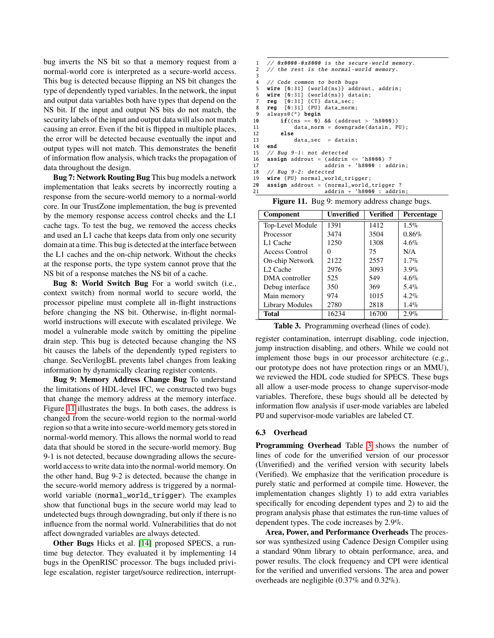bug inverts the NS bit so that a memory request from a normal-world core is interpreted as a secure-world access. This bug is detected because flipping an NS bit changes the type of dependently typed variables. In the network, the input and output data variables both have types that depend on the NS bit. If the input and output NS bits do not match, the security labels of the input and output data will also not match causing an error. Even if the bit is flipped in multiple places, the error will be detected because eventually the input and output types will not match. This demonstrates the benefit of information flow analysis, which tracks the propagation of data throughout the design.

**Bug 7: Network Routing Bug** This bug models a network implementation that leaks secrets by incorrectly routing a response from the secure-world memory to a normal-world core. In our TrustZone implementation, the bug is prevented by the memory response access control checks and the L1 cache tags. To test the bug, we removed the access checks and used an L1 cache that keeps data from only one security domain at a time. This bug is detected at the interface between the L1 caches and the on-chip network. Without the checks at the response ports, the type system cannot prove that the NS bit of a response matches the NS bit of a cache.

**Bug 8: World Switch Bug** For a world switch (i.e., context switch) from normal world to secure world, the processor pipeline must complete all in-flight instructions before changing the NS bit. Otherwise, in-flight normalworld instructions will execute with escalated privilege. We model a vulnerable mode switch by omitting the pipeline drain step. This bug is detected because changing the NS bit causes the labels of the dependently typed registers to change. SecVerilogBL prevents label changes from leaking information by dynamically clearing register contents.

**Bug 9: Memory Address Change Bug** To understand the limitations of HDL-level IFC, we constructed two bugs that change the memory address at the memory interface. Figure [11](#page-10-0) illustrates the bugs. In both cases, the address is changed from the secure-world region to the normal-world region so that a write into secure-world memory gets stored in normal-world memory. This allows the normal world to read data that should be stored in the secure-world memory. Bug 9-1 is not detected, because downgrading allows the secureworld access to write data into the normal-world memory. On the other hand, Bug 9-2 is detected, because the change in the secure-world memory address is triggered by a normalworld variable (normal\_world\_trigger). The examples show that functional bugs in the secure world may lead to undetected bugs through downgrading, but only if there is no influence from the normal world. Vulnerabilities that do not affect downgraded variables are always detected.

**Other Bugs** Hicks et al. [\[14\]](#page-12-3) proposed SPECS, a runtime bug detector. They evaluated it by implementing 14 bugs in the OpenRISC processor. The bugs included privilege escalation, register target/source redirection, interrupt-

```
1 // 0x0000 - 0x8000 is the secure-world memory.
2 // the rest is the normal -world memory.
 3
4 // Code common to both bugs
 5 wire [0:31] {world(ns)} addrout , addrin;
 6 wire [0:31] {world(ns)} datain;
7 reg [0:31] {CT} data_sec;
8 reg [0:31] {PU} data_norm;<br>9 always@(*) begin
     always@(*) begin
10 if((ns == 0) & (addrout > 'h8000))<br>
11 data norm = downgrade(datain P
              data\_norm = downgrade(datain, PU);12 else
13 data_sec = datain;
14 end<br>15 \frac{1}{\sqrt{2}}// Bug 9-1: not detected
16 assign addrout = (addrin <= 'h8000) ?
17 addrin + 'h8000 : addrin;<br>18 // Bua 9-2: detected
18 // Bug 9-2: detected<br>19 wire {PU} normal_wor
19 wire {PU} normal_world_trigger;<br>20 assign addrout = (normal world
     assign addrout = (normal\_world\_trigger ?
```
21 addrin + 'h8000 : addrin;

<span id="page-10-0"></span>**Figure 11.** Bug 9: memory address change bugs.

| <b>Component</b>       | Unverified | Verified | Percentage |
|------------------------|------------|----------|------------|
| Top-Level Module       | 1391       | 1412     | $1.5\%$    |
| Processor              | 3474       | 3504     | 0.86%      |
| L1 Cache               | 1250       | 1308     | $4.6\%$    |
| Access Control         | 0          | 75       | N/A        |
| On-chip Network        | 2122       | 2557     | $1.7\%$    |
| L <sub>2</sub> Cache   | 2976       | 3093     | $3.9\%$    |
| DMA controller         | 525        | 549      | $4.6\%$    |
| Debug interface        | 350        | 369      | $5.4\%$    |
| Main memory            | 974        | 1015     | $4.2\%$    |
| <b>Library Modules</b> | 2780       | 2818     | $1.4\%$    |
| Total                  | 16234      | 16700    | $2.9\%$    |

<span id="page-10-1"></span>**Table 3.** Programming overhead (lines of code).

register contamination, interrupt disabling, code injection, jump instruction disabling, and others. While we could not implement those bugs in our processor architecture (e.g., our prototype does not have protection rings or an MMU), we reviewed the HDL code studied for SPECS. These bugs all allow a user-mode process to change supervisor-mode variables. Therefore, these bugs should all be detected by information flow analysis if user-mode variables are labeled PU and supervisor-mode variables are labeled CT.

#### **6.3 Overhead**

**Programming Overhead** Table [3](#page-10-1) shows the number of lines of code for the unverified version of our processor (Unverified) and the verified version with security labels (Verified). We emphasize that the verification procedure is purely static and performed at compile time. However, the implementation changes slightly 1) to add extra variables specifically for encoding dependent types and 2) to aid the program analysis phase that estimates the run-time values of dependent types. The code increases by 2.9%.

**Area, Power, and Performance Overheads** The processor was synthesized using Cadence Design Compiler using a standard 90nm library to obtain performance, area, and power results. The clock frequency and CPI were identical for the verified and unverified versions. The area and power overheads are negligible (0.37% and 0.32%).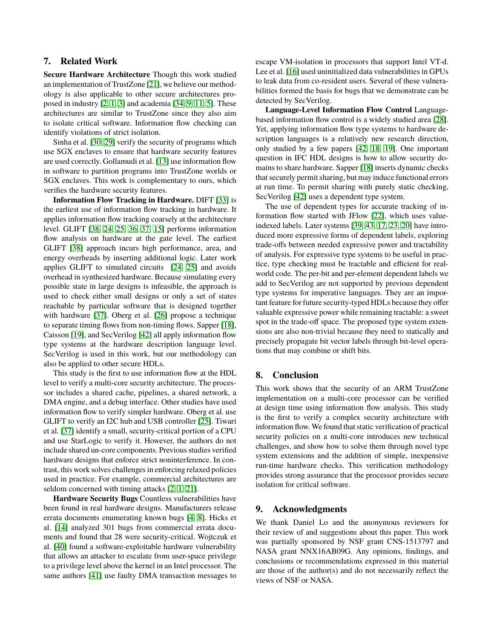# <span id="page-11-0"></span>**7. Related Work**

**Secure Hardware Architecture** Though this work studied an implementation of TrustZone [\[21\]](#page-12-0), we believe our methodology is also applicable to other secure architectures proposed in industry [\[2,](#page-12-1) [1,](#page-12-2) [3\]](#page-12-11) and academia [\[34,](#page-13-8) [9,](#page-12-12) [11,](#page-12-13) [5\]](#page-12-14). These architectures are similar to TrustZone since they also aim to isolate critical software. Information flow checking can identify violations of strict isolation.

Sinha et al. [\[30,](#page-12-15) [29\]](#page-12-16) verify the security of programs which use SGX enclaves to ensure that hardware security features are used correctly. Gollamudi et al. [\[13\]](#page-12-17) use information flow in software to partition programs into TrustZone worlds or SGX enclaves. This work is complementary to ours, which verifies the hardware security features.

**Information Flow Tracking in Hardware.** DIFT [\[33\]](#page-13-9) is the earliest use of information flow tracking in hardware. It applies information flow tracking coarsely at the architecture level. GLIFT [\[38,](#page-13-6) [24,](#page-12-18) [25,](#page-12-19) [36,](#page-13-10) [37,](#page-13-5) [15\]](#page-12-20) performs information flow analysis on hardware at the gate level. The earliest GLIFT [\[38\]](#page-13-6) approach incurs high performance, area, and energy overheads by inserting additional logic. Later work applies GLIFT to simulated circuits [\[24,](#page-12-18) [25\]](#page-12-19) and avoids overhead in synthesized hardware. Because simulating every possible state in large designs is infeasible, the approach is used to check either small designs or only a set of states reachable by particular software that is designed together with hardware [\[37\]](#page-13-5). Oberg et al. [\[26\]](#page-12-21) propose a technique to separate timing flows from non-timing flows. Sapper [\[18\]](#page-12-5), Caisson [\[19\]](#page-12-4), and SecVerilog [\[42\]](#page-13-4) all apply information flow type systems at the hardware description language level. SecVerilog is used in this work, but our methodology can also be applied to other secure HDLs.

This study is the first to use information flow at the HDL level to verify a multi-core security architecture. The processor includes a shared cache, pipelines, a shared network, a DMA engine, and a debug interface. Other studies have used information flow to verify simpler hardware. Oberg et al. use GLIFT to verify an I2C hub and USB controller [\[25\]](#page-12-19). Tiwari et al. [\[37\]](#page-13-5) identify a small, security-critical portion of a CPU and use StarLogic to verify it. However, the authors do not include shared un-core components. Previous studies verified hardware designs that enforce strict noninterference. In contrast, this work solves challenges in enforcing relaxed policies used in practice. For example, commercial architectures are seldom concerned with timing attacks [\[2,](#page-12-1) [1,](#page-12-2) [21\]](#page-12-0).

**Hardware Security Bugs** Countless vulnerabilities have been found in real hardware designs. Manufacturers release errata documents enumerating known bugs [\[4,](#page-12-22) [8\]](#page-12-23). Hicks et al. [\[14\]](#page-12-3) analyzed 301 bugs from commercial errata documents and found that 28 were security-critical. Wojtczuk et al. [\[40\]](#page-13-1) found a software-exploitable hardware vulnerability that allows an attacker to escalate from user-space privilege to a privilege level above the kernel in an Intel processor. The same authors [\[41\]](#page-13-0) use faulty DMA transaction messages to

escape VM-isolation in processors that support Intel VT-d. Lee et al. [\[16\]](#page-12-24) used uninitialized data vulnerabilities in GPUs to leak data from co-resident users. Several of these vulnerabilities formed the basis for bugs that we demonstrate can be detected by SecVerilog.

**Language-Level Information Flow Control** Languagebased information flow control is a widely studied area [\[28\]](#page-12-25). Yet, applying information flow type systems to hardware description languages is a relatively new research direction, only studied by a few papers [\[42,](#page-13-4) [18,](#page-12-5) [19\]](#page-12-4). One important question in IFC HDL designs is how to allow security domains to share hardware. Sapper [\[18\]](#page-12-5) inserts dynamic checks that securely permit sharing, but may induce functional errors at run time. To permit sharing with purely static checking, SecVerilog [\[42\]](#page-13-4) uses a dependent type system.

The use of dependent types for accurate tracking of information flow started with JFlow [\[22\]](#page-12-26), which uses valueindexed labels. Later systems [\[39,](#page-13-11) [43,](#page-13-12) [17,](#page-12-27) [23,](#page-12-28) [20\]](#page-12-29) have introduced more expressive forms of dependent labels, exploring trade-offs between needed expressive power and tractability of analysis. For expressive type systems to be useful in practice, type checking must be tractable and efficient for realworld code. The per-bit and per-element dependent labels we add to SecVerilog are not supported by previous dependent type systems for imperative languages. They are an important feature for future security-typed HDLs because they offer valuable expressive power while remaining tractable: a sweet spot in the trade-off space. The proposed type system extensions are also non-trivial because they need to statically and precisely propagate bit vector labels through bit-level operations that may combine or shift bits.

## <span id="page-11-1"></span>**8. Conclusion**

This work shows that the security of an ARM TrustZone implementation on a multi-core processor can be verified at design time using information flow analysis. This study is the first to verify a complex security architecture with information flow. We found that static verification of practical security policies on a multi-core introduces new technical challenges, and show how to solve them through novel type system extensions and the addition of simple, inexpensive run-time hardware checks. This verification methodology provides strong assurance that the processor provides secure isolation for critical software.

## **9. Acknowledgments**

We thank Daniel Lo and the anonymous reviewers for their review of and suggestions about this paper. This work was partially sponsored by NSF grant CNS-1513797 and NASA grant NNX16AB09G. Any opinions, findings, and conclusions or recommendations expressed in this material are those of the author(s) and do not necessarily reflect the views of NSF or NASA.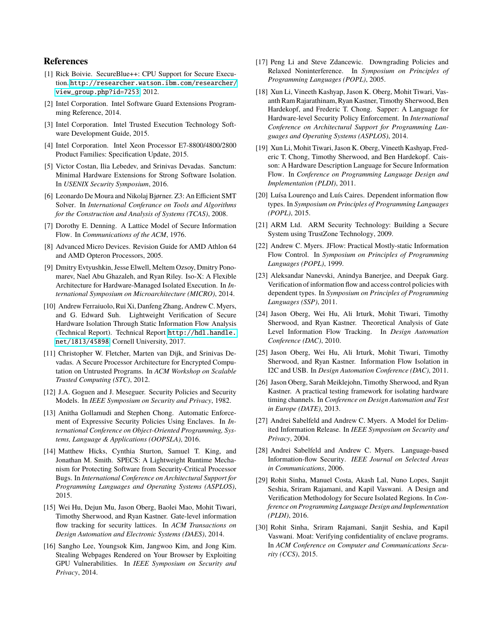## **References**

- <span id="page-12-2"></span>[1] Rick Boivie. SecureBlue++: CPU Support for Secure Execution. [http://researcher.watson.ibm.com/researcher/](http://researcher.watson.ibm.com/researcher/view_group.php?id=7253) [view\\_group.php?id=7253](http://researcher.watson.ibm.com/researcher/view_group.php?id=7253), 2012.
- <span id="page-12-1"></span>[2] Intel Corporation. Intel Software Guard Extensions Programming Reference, 2014.
- <span id="page-12-11"></span>[3] Intel Corporation. Intel Trusted Execution Technology Software Development Guide, 2015.
- <span id="page-12-22"></span>[4] Intel Corporation. Intel Xeon Processor E7-8800/4800/2800 Product Families: Specification Update, 2015.
- <span id="page-12-14"></span>[5] Victor Costan, Ilia Lebedev, and Srinivas Devadas. Sanctum: Minimal Hardware Extensions for Strong Software Isolation. In *USENIX Security Symposium*, 2016.
- <span id="page-12-7"></span>[6] Leonardo De Moura and Nikolaj Bjørner. Z3: An Efficient SMT Solver. In *International Conferance on Tools and Algorithms for the Construction and Analysis of Systems (TCAS)*, 2008.
- <span id="page-12-6"></span>[7] Dorothy E. Denning. A Lattice Model of Secure Information Flow. In *Communications of the ACM*, 1976.
- <span id="page-12-23"></span>[8] Advanced Micro Devices. Revision Guide for AMD Athlon 64 and AMD Opteron Processors, 2005.
- <span id="page-12-12"></span>[9] Dmitry Evtyushkin, Jesse Elwell, Meltem Ozsoy, Dmitry Ponomarev, Nael Abu Ghazaleh, and Ryan Riley. Iso-X: A Flexible Architecture for Hardware-Managed Isolated Execution. In *International Symposium on Microarchitecture (MICRO)*, 2014.
- <span id="page-12-10"></span>[10] Andrew Ferraiuolo, Rui Xi, Danfeng Zhang, Andrew C. Myers, and G. Edward Suh. Lightweight Verification of Secure Hardware Isolation Through Static Information Flow Analysis (Technical Report). Technical Report [http://hdl.handle.](http://hdl.handle.net/1813/45898) [net/1813/45898](http://hdl.handle.net/1813/45898), Cornell University, 2017.
- <span id="page-12-13"></span>[11] Christopher W. Fletcher, Marten van Dijk, and Srinivas Devadas. A Secure Processor Architecture for Encrypted Computation on Untrusted Programs. In *ACM Workshop on Scalable Trusted Computing (STC)*, 2012.
- <span id="page-12-8"></span>[12] J.A. Goguen and J. Meseguer. Security Policies and Security Models. In *IEEE Symposium on Security and Privacy*, 1982.
- <span id="page-12-17"></span>[13] Anitha Gollamudi and Stephen Chong. Automatic Enforcement of Expressive Security Policies Using Enclaves. In *International Conference on Object-Oriented Programming, Systems, Language & Applications (OOPSLA)*, 2016.
- <span id="page-12-3"></span>[14] Matthew Hicks, Cynthia Sturton, Samuel T. King, and Jonathan M. Smith. SPECS: A Lightweight Runtime Mechanism for Protecting Software from Security-Critical Processor Bugs. In *International Conference on Architectural Support for Programming Languages and Operating Systems (ASPLOS)*, 2015.
- <span id="page-12-20"></span>[15] Wei Hu, Dejun Mu, Jason Oberg, Baolei Mao, Mohit Tiwari, Timothy Sherwood, and Ryan Kastner. Gate-level information flow tracking for security lattices. In *ACM Transactions on Design Automation and Electronic Systems (DAES)*, 2014.
- <span id="page-12-24"></span>[16] Sangho Lee, Youngsok Kim, Jangwoo Kim, and Jong Kim. Stealing Webpages Rendered on Your Browser by Exploiting GPU Vulnerabilities. In *IEEE Symposium on Security and Privacy*, 2014.
- <span id="page-12-27"></span>[17] Peng Li and Steve Zdancewic. Downgrading Policies and Relaxed Noninterference. In *Symposium on Principles of Programming Languages (POPL)*, 2005.
- <span id="page-12-5"></span>[18] Xun Li, Vineeth Kashyap, Jason K. Oberg, Mohit Tiwari, Vasanth Ram Rajarathinam, Ryan Kastner, Timothy Sherwood, Ben Hardekopf, and Frederic T. Chong. Sapper: A Language for Hardware-level Security Policy Enforcement. In *International Conference on Architectural Support for Programming Languages and Operating Systems (ASPLOS)*, 2014.
- <span id="page-12-4"></span>[19] Xun Li, Mohit Tiwari, Jason K. Oberg, Vineeth Kashyap, Frederic T. Chong, Timothy Sherwood, and Ben Hardekopf. Caisson: A Hardware Description Language for Secure Information Flow. In *Conference on Programming Language Design and Implementation (PLDI)*, 2011.
- <span id="page-12-29"></span>[20] Luísa Lourenço and Luís Caires. Dependent information flow types. In *Symposium on Principles of Programming Languages (POPL)*, 2015.
- <span id="page-12-0"></span>[21] ARM Ltd. ARM Security Technology: Building a Secure System using TrustZone Technology, 2009.
- <span id="page-12-26"></span>[22] Andrew C. Myers. JFlow: Practical Mostly-static Information Flow Control. In *Symposium on Principles of Programming Languages (POPL)*, 1999.
- <span id="page-12-28"></span>[23] Aleksandar Nanevski, Anindya Banerjee, and Deepak Garg. Verification of information flow and access control policies with dependent types. In *Symposium on Principles of Programming Languages (SSP)*, 2011.
- <span id="page-12-18"></span>[24] Jason Oberg, Wei Hu, Ali Irturk, Mohit Tiwari, Timothy Sherwood, and Ryan Kastner. Theoretical Analysis of Gate Level Information Flow Tracking. In *Design Automation Conference (DAC)*, 2010.
- <span id="page-12-19"></span>[25] Jason Oberg, Wei Hu, Ali Irturk, Mohit Tiwari, Timothy Sherwood, and Ryan Kastner. Information Flow Isolation in I2C and USB. In *Design Automation Conference (DAC)*, 2011.
- <span id="page-12-21"></span>[26] Jason Oberg, Sarah Meiklejohn, Timothy Sherwood, and Ryan Kastner. A practical testing framework for isolating hardware timing channels. In *Conference on Design Automation and Test in Europe (DATE)*, 2013.
- <span id="page-12-9"></span>[27] Andrei Sabelfeld and Andrew C. Myers. A Model for Delimited Information Release. In *IEEE Symposium on Security and Privacy*, 2004.
- <span id="page-12-25"></span>[28] Andrei Sabelfeld and Andrew C. Myers. Language-based Information-flow Security. *IEEE Journal on Selected Areas in Communications*, 2006.
- <span id="page-12-16"></span>[29] Rohit Sinha, Manuel Costa, Akash Lal, Nuno Lopes, Sanjit Seshia, Sriram Rajamani, and Kapil Vaswani. A Design and Verification Methodology for Secure Isolated Regions. In *Conference on Programming Language Design and Implementation (PLDI)*, 2016.
- <span id="page-12-15"></span>[30] Rohit Sinha, Sriram Rajamani, Sanjit Seshia, and Kapil Vaswani. Moat: Verifying confidentiality of enclave programs. In *ACM Conference on Computer and Communications Security (CCS)*, 2015.